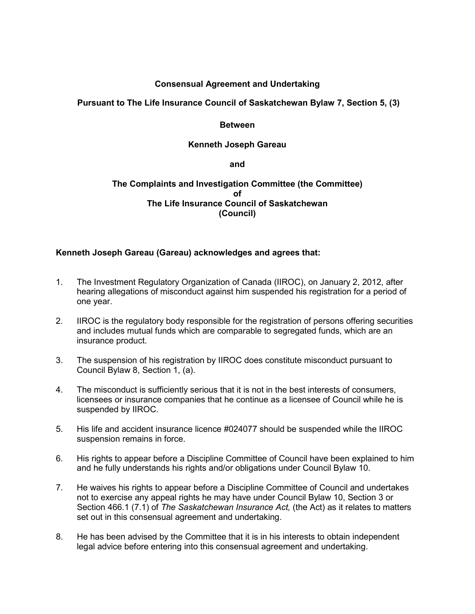# **Consensual Agreement and Undertaking**

# **Pursuant to The Life Insurance Council of Saskatchewan Bylaw 7, Section 5, (3)**

### **Between**

### **Kenneth Joseph Gareau**

#### **and**

## **The Complaints and Investigation Committee (the Committee) of The Life Insurance Council of Saskatchewan (Council)**

## **Kenneth Joseph Gareau (Gareau) acknowledges and agrees that:**

- 1. The Investment Regulatory Organization of Canada (IIROC), on January 2, 2012, after hearing allegations of misconduct against him suspended his registration for a period of one year.
- 2. IIROC is the regulatory body responsible for the registration of persons offering securities and includes mutual funds which are comparable to segregated funds, which are an insurance product.
- 3. The suspension of his registration by IIROC does constitute misconduct pursuant to Council Bylaw 8, Section 1, (a).
- 4. The misconduct is sufficiently serious that it is not in the best interests of consumers, licensees or insurance companies that he continue as a licensee of Council while he is suspended by IIROC.
- 5. His life and accident insurance licence #024077 should be suspended while the IIROC suspension remains in force.
- 6. His rights to appear before a Discipline Committee of Council have been explained to him and he fully understands his rights and/or obligations under Council Bylaw 10.
- 7. He waives his rights to appear before a Discipline Committee of Council and undertakes not to exercise any appeal rights he may have under Council Bylaw 10, Section 3 or Section 466.1 (7.1) of *The Saskatchewan Insurance Act,* (the Act) as it relates to matters set out in this consensual agreement and undertaking.
- 8. He has been advised by the Committee that it is in his interests to obtain independent legal advice before entering into this consensual agreement and undertaking.